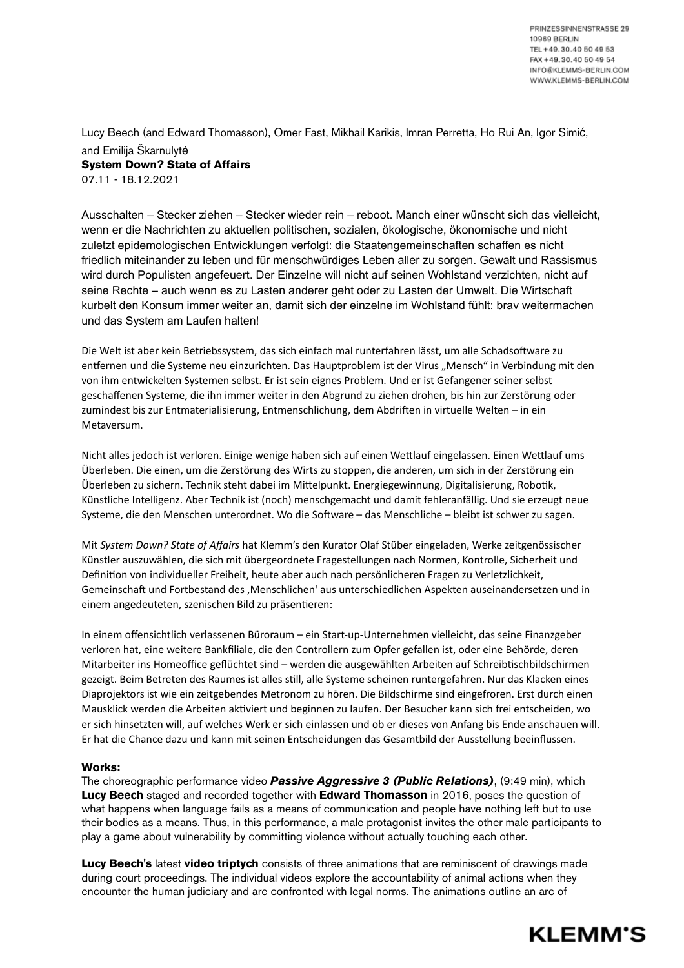Lucy Beech (and Edward Thomasson), Omer Fast, Mikhail Karikis, Imran Perretta, Ho Rui An, Igor Simić, and Emilija Škarnulytė **System Down? State of Affairs** 07.11 - 18.12.2021

Ausschalten – Stecker ziehen – Stecker wieder rein – reboot. Manch einer wünscht sich das vielleicht, wenn er die Nachrichten zu aktuellen politischen, sozialen, ökologische, ökonomische und nicht zuletzt epidemologischen Entwicklungen verfolgt: die Staatengemeinschaften schaffen es nicht friedlich miteinander zu leben und für menschwürdiges Leben aller zu sorgen. Gewalt und Rassismus wird durch Populisten angefeuert. Der Einzelne will nicht auf seinen Wohlstand verzichten, nicht auf seine Rechte – auch wenn es zu Lasten anderer geht oder zu Lasten der Umwelt. Die Wirtschaft kurbelt den Konsum immer weiter an, damit sich der einzelne im Wohlstand fühlt: brav weitermachen und das System am Laufen halten!

Die Welt ist aber kein Betriebssystem, das sich einfach mal runterfahren lässt, um alle Schadsoftware zu entfernen und die Systeme neu einzurichten. Das Hauptproblem ist der Virus "Mensch" in Verbindung mit den von ihm entwickelten Systemen selbst. Er ist sein eignes Problem. Und er ist Gefangener seiner selbst geschaffenen Systeme, die ihn immer weiter in den Abgrund zu ziehen drohen, bis hin zur Zerstörung oder zumindest bis zur Entmaterialisierung, Entmenschlichung, dem Abdriften in virtuelle Welten – in ein Metaversum.

Nicht alles jedoch ist verloren. Einige wenige haben sich auf einen Wettlauf eingelassen. Einen Wettlauf ums Überleben. Die einen, um die Zerstörung des Wirts zu stoppen, die anderen, um sich in der Zerstörung ein Überleben zu sichern. Technik steht dabei im Mittelpunkt. Energiegewinnung, Digitalisierung, Robotik, Künstliche Intelligenz. Aber Technik ist (noch) menschgemacht und damit fehleranfällig. Und sie erzeugt neue Systeme, die den Menschen unterordnet. Wo die Software – das Menschliche – bleibt ist schwer zu sagen.

Mit *System Down? State of Affairs* hat Klemm's den Kurator Olaf Stüber eingeladen, Werke zeitgenössischer Künstler auszuwählen, die sich mit übergeordnete Fragestellungen nach Normen, Kontrolle, Sicherheit und Definition von individueller Freiheit, heute aber auch nach persönlicheren Fragen zu Verletzlichkeit, Gemeinschaft und Fortbestand des 'Menschlichen' aus unterschiedlichen Aspekten auseinandersetzen und in einem angedeuteten, szenischen Bild zu präsentieren:

In einem offensichtlich verlassenen Büroraum – ein Start-up-Unternehmen vielleicht, das seine Finanzgeber verloren hat, eine weitere Bankfiliale, die den Controllern zum Opfer gefallen ist, oder eine Behörde, deren Mitarbeiter ins Homeoffice geflüchtet sind – werden die ausgewählten Arbeiten auf Schreibtischbildschirmen gezeigt. Beim Betreten des Raumes ist alles still, alle Systeme scheinen runtergefahren. Nur das Klacken eines Diaprojektors ist wie ein zeitgebendes Metronom zu hören. Die Bildschirme sind eingefroren. Erst durch einen Mausklick werden die Arbeiten aktiviert und beginnen zu laufen. Der Besucher kann sich frei entscheiden, wo er sich hinsetzten will, auf welches Werk er sich einlassen und ob er dieses von Anfang bis Ende anschauen will. Er hat die Chance dazu und kann mit seinen Entscheidungen das Gesamtbild der Ausstellung beeinflussen.

## **Works:**

The choreographic performance video *Passive Aggressive 3 (Public Relations)*, (9:49 min), which **Lucy Beech** staged and recorded together with **Edward Thomasson** in 2016, poses the question of what happens when language fails as a means of communication and people have nothing left but to use their bodies as a means. Thus, in this performance, a male protagonist invites the other male participants to play a game about vulnerability by committing violence without actually touching each other.

**Lucy Beech's** latest **video triptych** consists of three animations that are reminiscent of drawings made during court proceedings. The individual videos explore the accountability of animal actions when they encounter the human judiciary and are confronted with legal norms. The animations outline an arc of

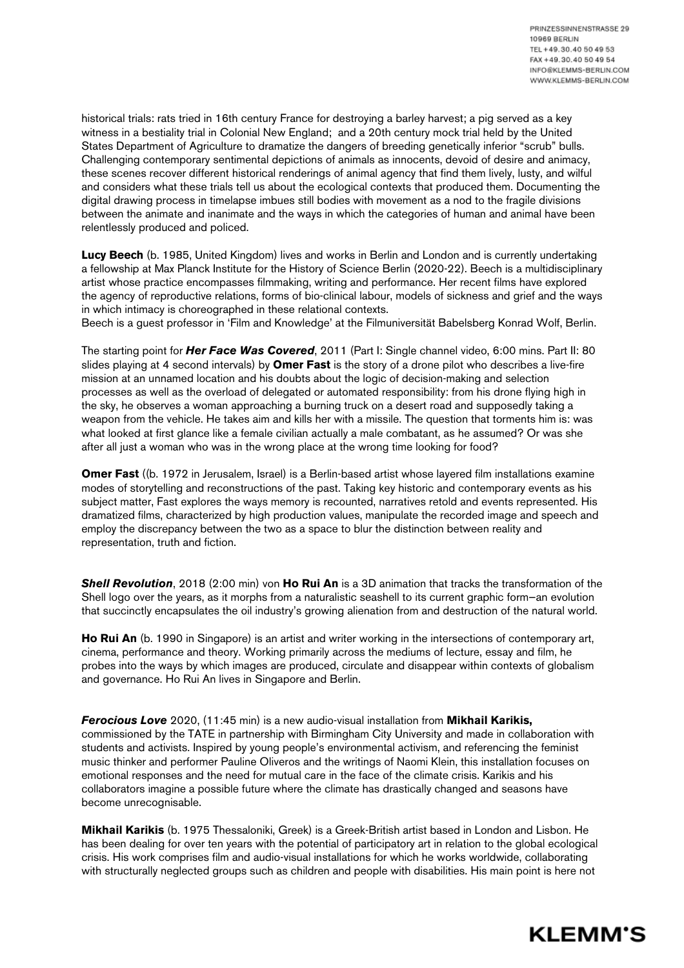historical trials: rats tried in 16th century France for destroying a barley harvest; a pig served as a key witness in a bestiality trial in Colonial New England; and a 20th century mock trial held by the United States Department of Agriculture to dramatize the dangers of breeding genetically inferior "scrub" bulls. Challenging contemporary sentimental depictions of animals as innocents, devoid of desire and animacy, these scenes recover different historical renderings of animal agency that find them lively, lusty, and wilful and considers what these trials tell us about the ecological contexts that produced them. Documenting the digital drawing process in timelapse imbues still bodies with movement as a nod to the fragile divisions between the animate and inanimate and the ways in which the categories of human and animal have been relentlessly produced and policed.

**Lucy Beech** (b. 1985, United Kingdom) lives and works in Berlin and London and is currently undertaking a fellowship at Max Planck Institute for the History of Science Berlin (2020-22). Beech is a multidisciplinary artist whose practice encompasses filmmaking, writing and performance. Her recent films have explored the agency of reproductive relations, forms of bio-clinical labour, models of sickness and grief and the ways in which intimacy is choreographed in these relational contexts.

Beech is a quest professor in 'Film and Knowledge' at the Filmuniversität Babelsberg Konrad Wolf, Berlin.

The starting point for *Her Face Was Covered*, 2011 (Part I: Single channel video, 6:00 mins. Part II: 80 slides playing at 4 second intervals) by **Omer Fast** is the story of a drone pilot who describes a live-fire mission at an unnamed location and his doubts about the logic of decision-making and selection processes as well as the overload of delegated or automated responsibility: from his drone flying high in the sky, he observes a woman approaching a burning truck on a desert road and supposedly taking a weapon from the vehicle. He takes aim and kills her with a missile. The question that torments him is: was what looked at first glance like a female civilian actually a male combatant, as he assumed? Or was she after all just a woman who was in the wrong place at the wrong time looking for food?

**Omer Fast** ((b. 1972 in Jerusalem, Israel) is a Berlin-based artist whose layered film installations examine modes of storytelling and reconstructions of the past. Taking key historic and contemporary events as his subject matter, Fast explores the ways memory is recounted, narratives retold and events represented. His dramatized films, characterized by high production values, manipulate the recorded image and speech and employ the discrepancy between the two as a space to blur the distinction between reality and representation, truth and fiction.

*Shell Revolution*, 2018 (2:00 min) von **Ho Rui An** is a 3D animation that tracks the transformation of the Shell logo over the years, as it morphs from a naturalistic seashell to its current graphic form—an evolution that succinctly encapsulates the oil industry's growing alienation from and destruction of the natural world.

**Ho Rui An** (b. 1990 in Singapore) is an artist and writer working in the intersections of contemporary art, cinema, performance and theory. Working primarily across the mediums of lecture, essay and film, he probes into the ways by which images are produced, circulate and disappear within contexts of globalism and governance. Ho Rui An lives in Singapore and Berlin.

*Ferocious Love* 2020, (11:45 min) is a new audio-visual installation from **Mikhail Karikis,**  commissioned by the TATE in partnership with Birmingham City University and made in collaboration with students and activists. Inspired by young people's environmental activism, and referencing the feminist music thinker and performer Pauline Oliveros and the writings of Naomi Klein, this installation focuses on emotional responses and the need for mutual care in the face of the climate crisis. Karikis and his collaborators imagine a possible future where the climate has drastically changed and seasons have become unrecognisable.

**Mikhail Karikis** (b. 1975 Thessaloniki, Greek) is a Greek-British artist based in London and Lisbon. He has been dealing for over ten years with the potential of participatory art in relation to the global ecological crisis. His work comprises film and audio-visual installations for which he works worldwide, collaborating with structurally neglected groups such as children and people with disabilities. His main point is here not

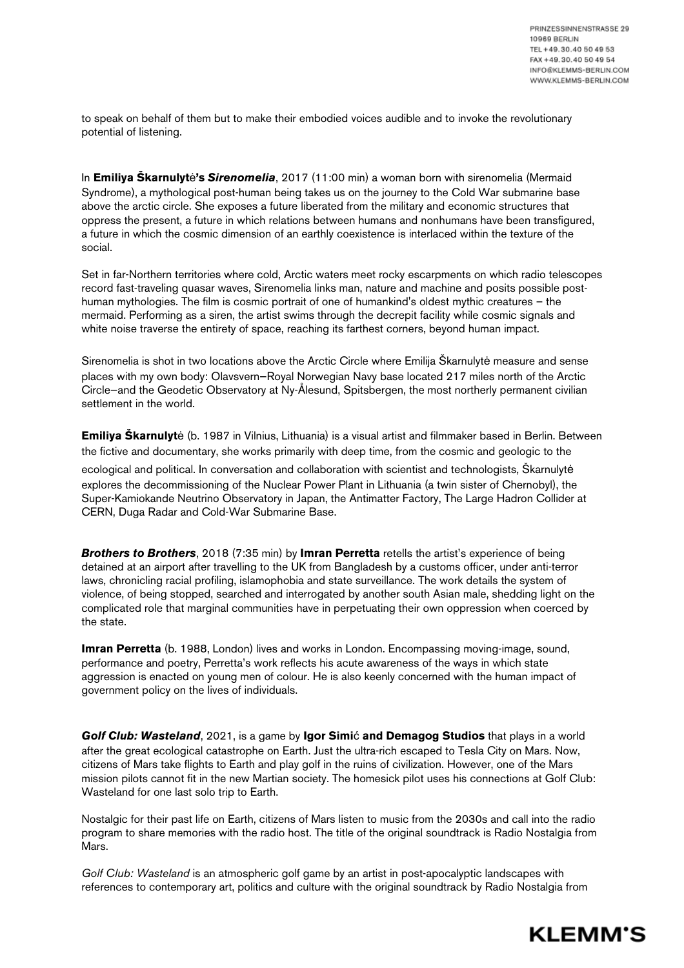to speak on behalf of them but to make their embodied voices audible and to invoke the revolutionary potential of listening.

In **Emiliya Skarnulyte's Sirenomelia**, 2017 (11:00 min) a woman born with sirenomelia (Mermaid Syndrome), a mythological post-human being takes us on the journey to the Cold War submarine base above the arctic circle. She exposes a future liberated from the military and economic structures that oppress the present, a future in which relations between humans and nonhumans have been transfigured, a future in which the cosmic dimension of an earthly coexistence is interlaced within the texture of the social.

Set in far-Northern territories where cold, Arctic waters meet rocky escarpments on which radio telescopes record fast-traveling quasar waves, Sirenomelia links man, nature and machine and posits possible posthuman mythologies. The film is cosmic portrait of one of humankind's oldest mythic creatures – the mermaid. Performing as a siren, the artist swims through the decrepit facility while cosmic signals and white noise traverse the entirety of space, reaching its farthest corners, beyond human impact.

Sirenomelia is shot in two locations above the Arctic Circle where Emilija Škarnulytė measure and sense places with my own body: Olavsvern—Royal Norwegian Navy base located 217 miles north of the Arctic Circle—and the Geodetic Observatory at Ny-Ålesund, Spitsbergen, the most northerly permanent civilian settlement in the world.

**Emiliya Škarnulyt**ė (b. 1987 in Vilnius, Lithuania) is a visual artist and filmmaker based in Berlin. Between the fictive and documentary, she works primarily with deep time, from the cosmic and geologic to the

ecological and political. In conversation and collaboration with scientist and technologists, Škarnulytė explores the decommissioning of the Nuclear Power Plant in Lithuania (a twin sister of Chernobyl), the Super-Kamiokande Neutrino Observatory in Japan, the Antimatter Factory, The Large Hadron Collider at CERN, Duga Radar and Cold-War Submarine Base.

*Brothers to Brothers*, 2018 (7:35 min) by **Imran Perretta** retells the artist's experience of being detained at an airport after travelling to the UK from Bangladesh by a customs officer, under anti-terror laws, chronicling racial profiling, islamophobia and state surveillance. The work details the system of violence, of being stopped, searched and interrogated by another south Asian male, shedding light on the complicated role that marginal communities have in perpetuating their own oppression when coerced by the state.

**Imran Perretta** (b. 1988, London) lives and works in London. Encompassing moving-image, sound, performance and poetry, Perretta's work reflects his acute awareness of the ways in which state aggression is enacted on young men of colour. He is also keenly concerned with the human impact of government policy on the lives of individuals.

**Golf Club: Wasteland**, 2021, is a game by **Igor Simi** cand Demagog Studios that plays in a world after the great ecological catastrophe on Earth. Just the ultra-rich escaped to Tesla City on Mars. Now, citizens of Mars take flights to Earth and play golf in the ruins of civilization. However, one of the Mars mission pilots cannot fit in the new Martian society. The homesick pilot uses his connections at Golf Club: Wasteland for one last solo trip to Earth.

Nostalgic for their past life on Earth, citizens of Mars listen to music from the 2030s and call into the radio program to share memories with the radio host. The title of the original soundtrack is Radio Nostalgia from Mars.

*Golf Club: Wasteland* is an atmospheric golf game by an artist in post-apocalyptic landscapes with references to contemporary art, politics and culture with the original soundtrack by Radio Nostalgia from